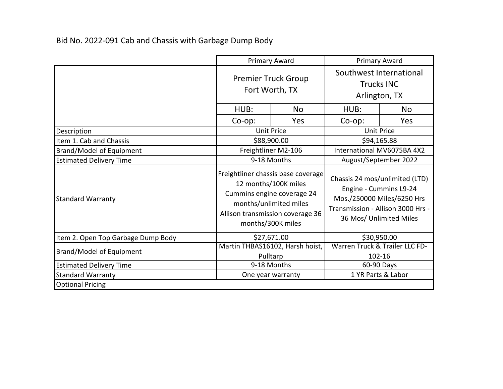Bid No. 2022-091 Cab and Chassis with Garbage Dump Body

|                                    | <b>Primary Award</b>                                                                                                                                                        |                                             | <b>Primary Award</b>                                                                                                                                   |     |
|------------------------------------|-----------------------------------------------------------------------------------------------------------------------------------------------------------------------------|---------------------------------------------|--------------------------------------------------------------------------------------------------------------------------------------------------------|-----|
|                                    | <b>Premier Truck Group</b><br>Fort Worth, TX                                                                                                                                |                                             | Southwest International<br><b>Trucks INC</b><br>Arlington, TX                                                                                          |     |
|                                    | HUB:                                                                                                                                                                        | <b>No</b>                                   | HUB:                                                                                                                                                   | No  |
|                                    | $Co$ -op:                                                                                                                                                                   | Yes                                         | $Co$ -op:                                                                                                                                              | Yes |
| Description                        |                                                                                                                                                                             | <b>Unit Price</b><br><b>Unit Price</b>      |                                                                                                                                                        |     |
| Item 1. Cab and Chassis            | \$88,900.00                                                                                                                                                                 |                                             | \$94,165.88                                                                                                                                            |     |
| Brand/Model of Equipment           |                                                                                                                                                                             | Freightliner M2-106                         | International MV6075BA 4X2                                                                                                                             |     |
| <b>Estimated Delivery Time</b>     | 9-18 Months                                                                                                                                                                 |                                             | August/September 2022                                                                                                                                  |     |
| <b>Standard Warranty</b>           | Freightliner chassis base coverage<br>12 months/100K miles<br>Cummins engine coverage 24<br>months/unlimited miles<br>Allison transmission coverage 36<br>months/300K miles |                                             | Chassis 24 mos/unlimited (LTD)<br>Engine - Cummins L9-24<br>Mos./250000 Miles/6250 Hrs<br>Transmission - Allison 3000 Hrs -<br>36 Mos/ Unlimited Miles |     |
| Item 2. Open Top Garbage Dump Body |                                                                                                                                                                             | \$27,671.00                                 | \$30,950.00                                                                                                                                            |     |
| <b>Brand/Model of Equipment</b>    |                                                                                                                                                                             | Martin THBAS16102, Harsh hoist,<br>Pulltarp | Warren Truck & Trailer LLC FD-<br>102-16                                                                                                               |     |
| <b>Estimated Delivery Time</b>     | 9-18 Months                                                                                                                                                                 |                                             | 60-90 Days                                                                                                                                             |     |
| <b>Standard Warranty</b>           |                                                                                                                                                                             | 1 YR Parts & Labor<br>One year warranty     |                                                                                                                                                        |     |
| <b>Optional Pricing</b>            |                                                                                                                                                                             |                                             |                                                                                                                                                        |     |